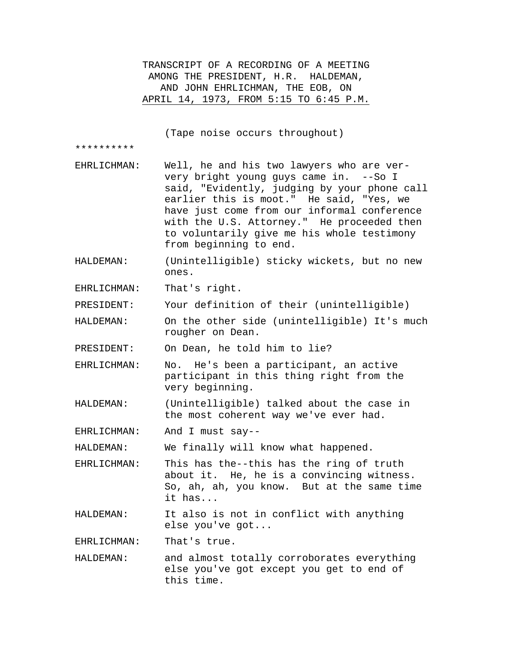TRANSCRIPT OF A RECORDING OF A MEETING AMONG THE PRESIDENT, H.R. HALDEMAN, AND JOHN EHRLICHMAN, THE EOB, ON APRIL 14, 1973, FROM 5:15 TO 6:45 P.M.

(Tape noise occurs throughout)

\*\*\*\*\*\*\*\*\*\*

EHRLICHMAN: Well, he and his two lawyers who are ververy bright young guys came in. --So I said, "Evidently, judging by your phone call earlier this is moot." He said, "Yes, we have just come from our informal conference with the U.S. Attorney." He proceeded then to voluntarily give me his whole testimony from beginning to end.

HALDEMAN: (Unintelligible) sticky wickets, but no new ones.

EHRLICHMAN: That's right.

PRESIDENT: Your definition of their (unintelligible)

HALDEMAN: On the other side (unintelligible) It's much rougher on Dean.

PRESIDENT: On Dean, he told him to lie?

- EHRLICHMAN: No. He's been a participant, an active participant in this thing right from the very beginning.
- HALDEMAN: (Unintelligible) talked about the case in the most coherent way we've ever had.

EHRLICHMAN: And I must say--

HALDEMAN: We finally will know what happened.

- EHRLICHMAN: This has the--this has the ring of truth about it. He, he is a convincing witness. So, ah, ah, you know. But at the same time it has...
- HALDEMAN: It also is not in conflict with anything else you've got...

EHRLICHMAN: That's true.

HALDEMAN: and almost totally corroborates everything else you've got except you get to end of this time.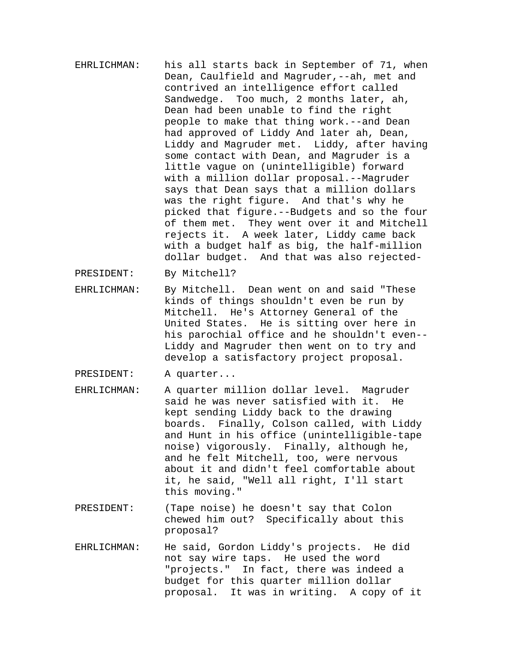EHRLICHMAN: his all starts back in September of 71, when Dean, Caulfield and Magruder,--ah, met and contrived an intelligence effort called Sandwedge. Too much, 2 months later, ah, Dean had been unable to find the right people to make that thing work.--and Dean had approved of Liddy And later ah, Dean, Liddy and Magruder met. Liddy, after having some contact with Dean, and Magruder is a little vague on (unintelligible) forward with a million dollar proposal.--Magruder says that Dean says that a million dollars was the right figure. And that's why he picked that figure.--Budgets and so the four of them met. They went over it and Mitchell rejects it. A week later, Liddy came back with a budget half as big, the half-million dollar budget. And that was also rejected-

PRESIDENT: By Mitchell?

- EHRLICHMAN: By Mitchell. Dean went on and said "These kinds of things shouldn't even be run by Mitchell. He's Attorney General of the United States. He is sitting over here in his parochial office and he shouldn't even-- Liddy and Magruder then went on to try and develop a satisfactory project proposal.
- PRESIDENT: A quarter...
- EHRLICHMAN: A quarter million dollar level. Magruder said he was never satisfied with it. He kept sending Liddy back to the drawing boards. Finally, Colson called, with Liddy and Hunt in his office (unintelligible-tape noise) vigorously. Finally, although he, and he felt Mitchell, too, were nervous about it and didn't feel comfortable about it, he said, "Well all right, I'll start this moving."
- PRESIDENT: (Tape noise) he doesn't say that Colon chewed him out? Specifically about this proposal?
- EHRLICHMAN: He said, Gordon Liddy's projects. He did not say wire taps. He used the word "projects." In fact, there was indeed a budget for this quarter million dollar proposal. It was in writing. A copy of it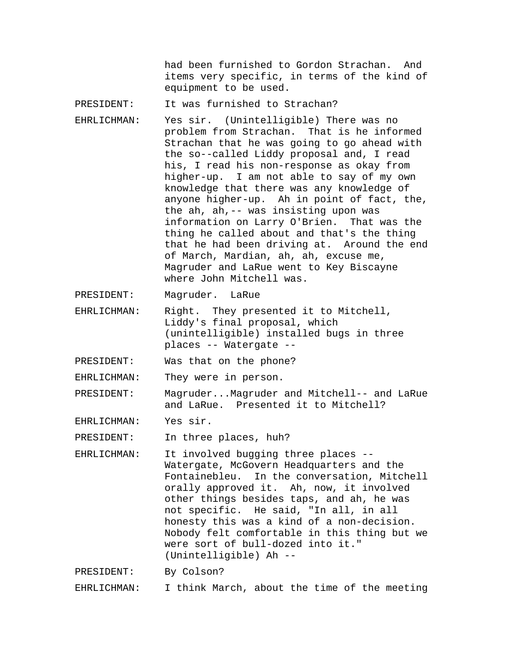had been furnished to Gordon Strachan. And items very specific, in terms of the kind of equipment to be used.

PRESIDENT: It was furnished to Strachan?

EHRLICHMAN: Yes sir. (Unintelligible) There was no problem from Strachan. That is he informed Strachan that he was going to go ahead with the so--called Liddy proposal and, I read his, I read his non-response as okay from higher-up. I am not able to say of my own knowledge that there was any knowledge of anyone higher-up. Ah in point of fact, the, the ah, ah,-- was insisting upon was information on Larry O'Brien. That was the thing he called about and that's the thing that he had been driving at. Around the end of March, Mardian, ah, ah, excuse me, Magruder and LaRue went to Key Biscayne where John Mitchell was.

PRESIDENT: Magruder. LaRue

EHRLICHMAN: Right. They presented it to Mitchell, Liddy's final proposal, which (unintelligible) installed bugs in three places -- Watergate --

PRESIDENT: Was that on the phone?

EHRLICHMAN: They were in person.

PRESIDENT: Magruder...Magruder and Mitchell-- and LaRue and LaRue. Presented it to Mitchell?

EHRLICHMAN: Yes sir.

PRESIDENT: In three places, huh?

EHRLICHMAN: It involved bugging three places -- Watergate, McGovern Headquarters and the Fontainebleu. In the conversation, Mitchell orally approved it. Ah, now, it involved other things besides taps, and ah, he was not specific. He said, "In all, in all honesty this was a kind of a non-decision. Nobody felt comfortable in this thing but we were sort of bull-dozed into it." (Unintelligible) Ah --

PRESIDENT: By Colson?

EHRLICHMAN: I think March, about the time of the meeting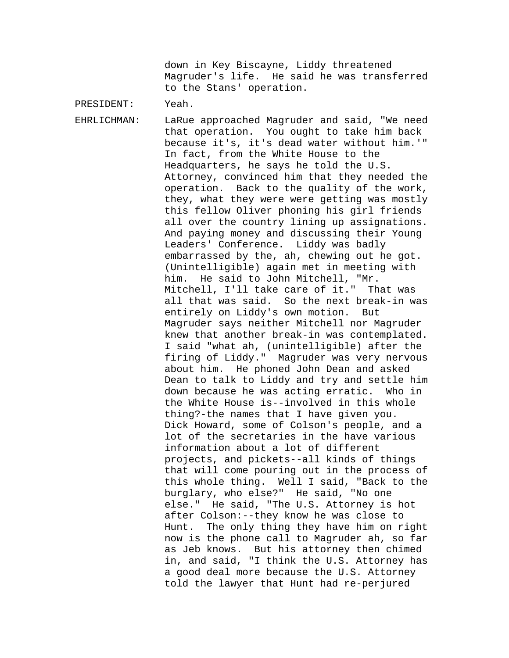down in Key Biscayne, Liddy threatened Magruder's life. He said he was transferred to the Stans' operation.

PRESIDENT: Yeah.

EHRLICHMAN: LaRue approached Magruder and said, "We need that operation. You ought to take him back because it's, it's dead water without him.'" In fact, from the White House to the Headquarters, he says he told the U.S. Attorney, convinced him that they needed the operation. Back to the quality of the work, they, what they were were getting was mostly this fellow Oliver phoning his girl friends all over the country lining up assignations. And paying money and discussing their Young Leaders' Conference. Liddy was badly embarrassed by the, ah, chewing out he got. (Unintelligible) again met in meeting with him. He said to John Mitchell, "Mr. Mitchell, I'll take care of it." That was all that was said. So the next break-in was entirely on Liddy's own motion. But Magruder says neither Mitchell nor Magruder knew that another break-in was contemplated. I said "what ah, (unintelligible) after the firing of Liddy." Magruder was very nervous about him. He phoned John Dean and asked Dean to talk to Liddy and try and settle him down because he was acting erratic. Who in the White House is--involved in this whole thing?-the names that I have given you. Dick Howard, some of Colson's people, and a lot of the secretaries in the have various information about a lot of different projects, and pickets--all kinds of things that will come pouring out in the process of this whole thing. Well I said, "Back to the burglary, who else?" He said, "No one else." He said, "The U.S. Attorney is hot after Colson:--they know he was close to Hunt. The only thing they have him on right now is the phone call to Magruder ah, so far as Jeb knows. But his attorney then chimed in, and said, "I think the U.S. Attorney has a good deal more because the U.S. Attorney told the lawyer that Hunt had re-perjured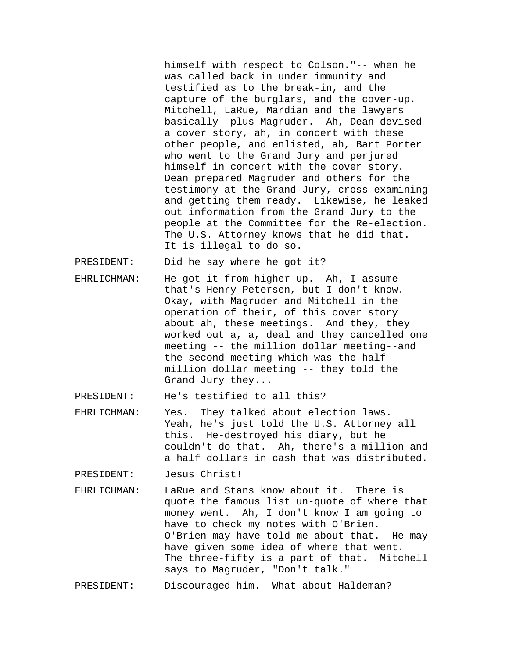himself with respect to Colson."-- when he was called back in under immunity and testified as to the break-in, and the capture of the burglars, and the cover-up. Mitchell, LaRue, Mardian and the lawyers basically--plus Magruder. Ah, Dean devised a cover story, ah, in concert with these other people, and enlisted, ah, Bart Porter who went to the Grand Jury and perjured himself in concert with the cover story. Dean prepared Magruder and others for the testimony at the Grand Jury, cross-examining and getting them ready. Likewise, he leaked out information from the Grand Jury to the people at the Committee for the Re-election. The U.S. Attorney knows that he did that. It is illegal to do so.

PRESIDENT: Did he say where he got it?

EHRLICHMAN: He got it from higher-up. Ah, I assume that's Henry Petersen, but I don't know. Okay, with Magruder and Mitchell in the operation of their, of this cover story about ah, these meetings. And they, they worked out a, a, deal and they cancelled one meeting -- the million dollar meeting--and the second meeting which was the halfmillion dollar meeting -- they told the Grand Jury they...

PRESIDENT: He's testified to all this?

EHRLICHMAN: Yes. They talked about election laws. Yeah, he's just told the U.S. Attorney all this. He-destroyed his diary, but he couldn't do that. Ah, there's a million and a half dollars in cash that was distributed.

PRESIDENT: Jesus Christ!

EHRLICHMAN: LaRue and Stans know about it. There is quote the famous list un-quote of where that money went. Ah, I don't know I am going to have to check my notes with O'Brien. O'Brien may have told me about that. He may have given some idea of where that went. The three-fifty is a part of that. Mitchell says to Magruder, "Don't talk."

PRESIDENT: Discouraged him. What about Haldeman?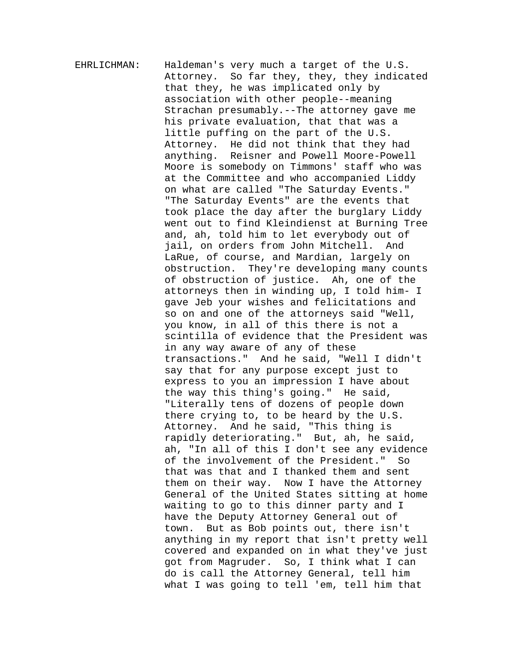EHRLICHMAN: Haldeman's very much a target of the U.S. Attorney. So far they, they, they indicated that they, he was implicated only by association with other people--meaning Strachan presumably.--The attorney gave me his private evaluation, that that was a little puffing on the part of the U.S. Attorney. He did not think that they had anything. Reisner and Powell Moore-Powell Moore is somebody on Timmons' staff who was at the Committee and who accompanied Liddy on what are called "The Saturday Events." "The Saturday Events" are the events that took place the day after the burglary Liddy went out to find Kleindienst at Burning Tree and, ah, told him to let everybody out of jail, on orders from John Mitchell. And LaRue, of course, and Mardian, largely on obstruction. They're developing many counts of obstruction of justice. Ah, one of the attorneys then in winding up, I told him- I gave Jeb your wishes and felicitations and so on and one of the attorneys said "Well, you know, in all of this there is not a scintilla of evidence that the President was in any way aware of any of these transactions." And he said, "Well I didn't say that for any purpose except just to express to you an impression I have about the way this thing's going." He said, "Literally tens of dozens of people down there crying to, to be heard by the U.S. Attorney. And he said, "This thing is rapidly deteriorating." But, ah, he said, ah, "In all of this I don't see any evidence of the involvement of the President." So that was that and I thanked them and sent them on their way. Now I have the Attorney General of the United States sitting at home waiting to go to this dinner party and I have the Deputy Attorney General out of town. But as Bob points out, there isn't anything in my report that isn't pretty well covered and expanded on in what they've just got from Magruder. So, I think what I can do is call the Attorney General, tell him what I was going to tell 'em, tell him that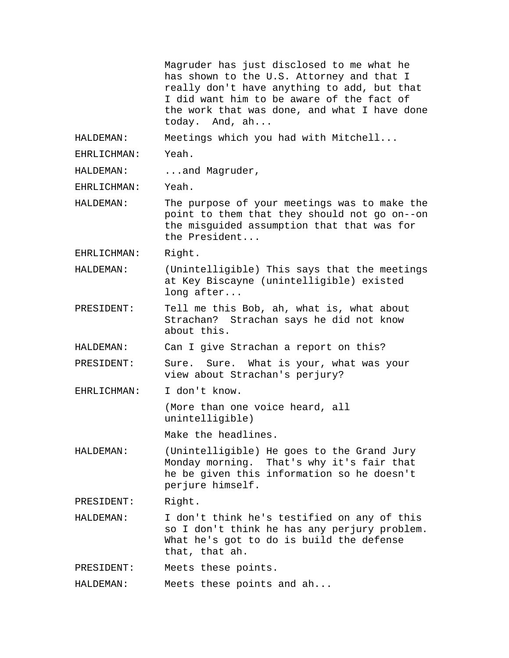Magruder has just disclosed to me what he has shown to the U.S. Attorney and that I really don't have anything to add, but that I did want him to be aware of the fact of the work that was done, and what I have done today. And, ah...

HALDEMAN: Meetings which you had with Mitchell...

EHRLICHMAN: Yeah.

HALDEMAN: ...and Magruder,

EHRLICHMAN: Yeah.

HALDEMAN: The purpose of your meetings was to make the point to them that they should not go on--on the misguided assumption that that was for the President...

EHRLICHMAN: Right.

HALDEMAN: (Unintelligible) This says that the meetings at Key Biscayne (unintelligible) existed long after...

PRESIDENT: Tell me this Bob, ah, what is, what about Strachan? Strachan says he did not know about this.

HALDEMAN: Can I give Strachan a report on this?

PRESIDENT: Sure. Sure. What is your, what was your view about Strachan's perjury?

EHRLICHMAN: I don't know.

(More than one voice heard, all unintelligible)

Make the headlines.

HALDEMAN: (Unintelligible) He goes to the Grand Jury Monday morning. That's why it's fair that he be given this information so he doesn't perjure himself.

PRESIDENT: Right.

HALDEMAN: I don't think he's testified on any of this so I don't think he has any perjury problem. What he's got to do is build the defense that, that ah.

PRESIDENT: Meets these points.

HALDEMAN: Meets these points and ah...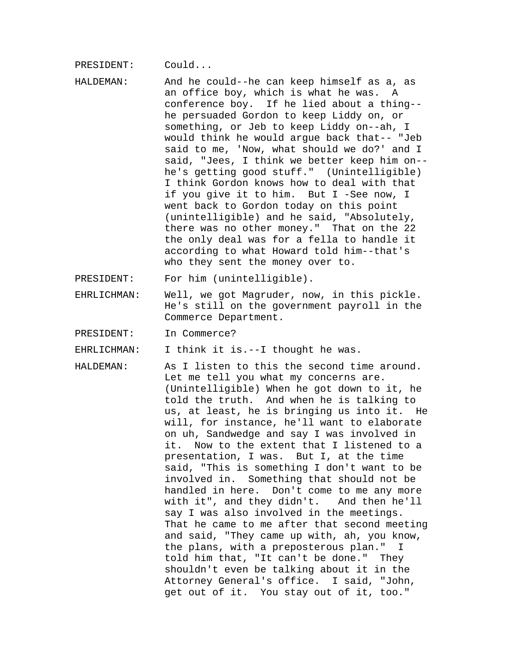PRESIDENT: Could...

HALDEMAN: And he could--he can keep himself as a, as an office boy, which is what he was. A conference boy. If he lied about a thing- he persuaded Gordon to keep Liddy on, or something, or Jeb to keep Liddy on--ah, I would think he would argue back that-- "Jeb said to me, 'Now, what should we do?' and I said, "Jees, I think we better keep him on- he's getting good stuff." (Unintelligible) I think Gordon knows how to deal with that if you give it to him. But I -See now, I went back to Gordon today on this point (unintelligible) and he said, "Absolutely, there was no other money." That on the 22 the only deal was for a fella to handle it according to what Howard told him--that's who they sent the money over to.

PRESIDENT: For him (unintelligible).

EHRLICHMAN: Well, we got Magruder, now, in this pickle. He's still on the government payroll in the Commerce Department.

PRESIDENT: In Commerce?

EHRLICHMAN: I think it is.--I thought he was.

HALDEMAN: As I listen to this the second time around. Let me tell you what my concerns are. (Unintelligible) When he got down to it, he told the truth. And when he is talking to us, at least, he is bringing us into it. He will, for instance, he'll want to elaborate on uh, Sandwedge and say I was involved in it. Now to the extent that I listened to a presentation, I was. But I, at the time said, "This is something I don't want to be involved in. Something that should not be handled in here. Don't come to me any more with it", and they didn't. And then he'll say I was also involved in the meetings. That he came to me after that second meeting and said, "They came up with, ah, you know, the plans, with a preposterous plan." I told him that, "It can't be done." They shouldn't even be talking about it in the Attorney General's office. I said, "John, get out of it. You stay out of it, too."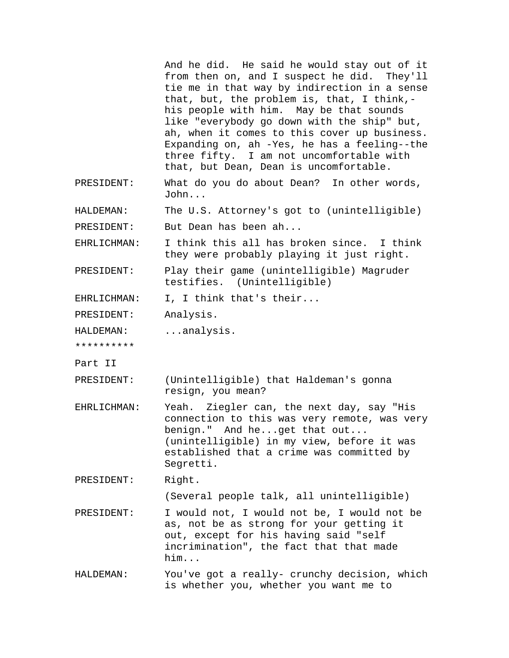And he did. He said he would stay out of it from then on, and I suspect he did. They'll tie me in that way by indirection in a sense that, but, the problem is, that, I think, his people with him. May be that sounds like "everybody go down with the ship" but, ah, when it comes to this cover up business. Expanding on, ah -Yes, he has a feeling--the three fifty. I am not uncomfortable with that, but Dean, Dean is uncomfortable.

PRESIDENT: What do you do about Dean? In other words, John...

HALDEMAN: The U.S. Attorney's got to (unintelligible)

PRESIDENT: But Dean has been ah...

EHRLICHMAN: I think this all has broken since. I think they were probably playing it just right.

PRESIDENT: Play their game (unintelligible) Magruder testifies. (Unintelligible)

EHRLICHMAN: I, I think that's their...

PRESIDENT: Analysis.

HALDEMAN: ...analysis.

\*\*\*\*\*\*\*\*\*\*

Part II

- PRESIDENT: (Unintelligible) that Haldeman's gonna resign, you mean?
- EHRLICHMAN: Yeah. Ziegler can, the next day, say "His connection to this was very remote, was very benign." And he...get that out... (unintelligible) in my view, before it was established that a crime was committed by Segretti.

PRESIDENT: Right.

(Several people talk, all unintelligible)

- PRESIDENT: I would not, I would not be, I would not be as, not be as strong for your getting it out, except for his having said "self incrimination", the fact that that made him...
- HALDEMAN: You've got a really- crunchy decision, which is whether you, whether you want me to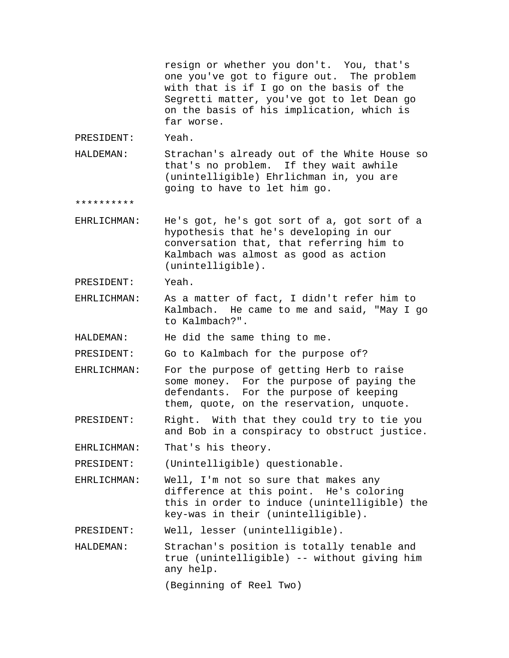resign or whether you don't. You, that's one you've got to figure out. The problem with that is if I go on the basis of the Segretti matter, you've got to let Dean go on the basis of his implication, which is far worse.

PRESIDENT: Yeah.

HALDEMAN: Strachan's already out of the White House so that's no problem. If they wait awhile (unintelligible) Ehrlichman in, you are going to have to let him go.

\*\*\*\*\*\*\*\*\*\*

- EHRLICHMAN: He's got, he's got sort of a, got sort of a hypothesis that he's developing in our conversation that, that referring him to Kalmbach was almost as good as action (unintelligible).
- PRESIDENT: Yeah.
- EHRLICHMAN: As a matter of fact, I didn't refer him to Kalmbach. He came to me and said, "May I go to Kalmbach?".

HALDEMAN: He did the same thing to me.

PRESIDENT: Go to Kalmbach for the purpose of?

- EHRLICHMAN: For the purpose of getting Herb to raise some money. For the purpose of paying the defendants. For the purpose of keeping them, quote, on the reservation, unquote.
- PRESIDENT: Right. With that they could try to tie you and Bob in a conspiracy to obstruct justice.

EHRLICHMAN: That's his theory.

PRESIDENT: (Unintelligible) questionable.

EHRLICHMAN: Well, I'm not so sure that makes any difference at this point. He's coloring this in order to induce (unintelligible) the key-was in their (unintelligible).

PRESIDENT: Well, lesser (unintelligible).

HALDEMAN: Strachan's position is totally tenable and true (unintelligible) -- without giving him any help.

(Beginning of Reel Two)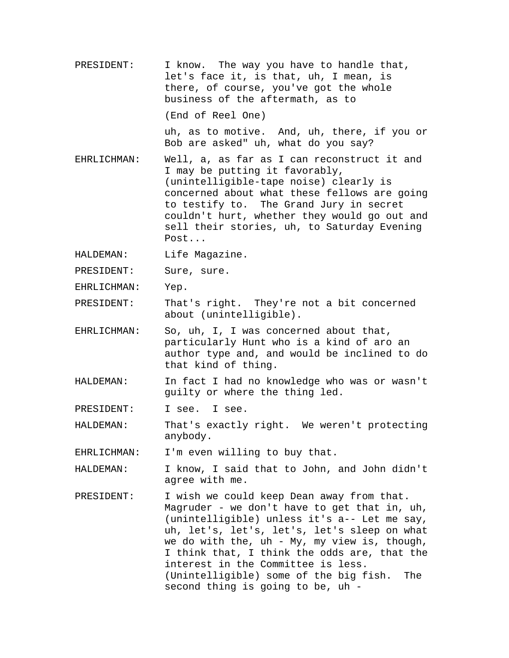PRESIDENT: I know. The way you have to handle that, let's face it, is that, uh, I mean, is there, of course, you've got the whole business of the aftermath, as to (End of Reel One)

> uh, as to motive. And, uh, there, if you or Bob are asked" uh, what do you say?

EHRLICHMAN: Well, a, as far as I can reconstruct it and I may be putting it favorably, (unintelligible-tape noise) clearly is concerned about what these fellows are going to testify to. The Grand Jury in secret couldn't hurt, whether they would go out and sell their stories, uh, to Saturday Evening Post...

HALDEMAN: Life Magazine.

PRESIDENT: Sure, sure.

EHRLICHMAN: Yep.

PRESIDENT: That's right. They're not a bit concerned about (unintelligible).

EHRLICHMAN: So, uh, I, I was concerned about that, particularly Hunt who is a kind of aro an author type and, and would be inclined to do that kind of thing.

HALDEMAN: In fact I had no knowledge who was or wasn't guilty or where the thing led.

PRESIDENT: I see. I see.

HALDEMAN: That's exactly right. We weren't protecting anybody.

EHRLICHMAN: I'm even willing to buy that.

- HALDEMAN: I know, I said that to John, and John didn't agree with me.
- PRESIDENT: I wish we could keep Dean away from that. Magruder - we don't have to get that in, uh, (unintelligible) unless it's a-- Let me say, uh, let's, let's, let's, let's sleep on what we do with the, uh - My, my view is, though, I think that, I think the odds are, that the interest in the Committee is less. (Unintelligible) some of the big fish. The second thing is going to be, uh -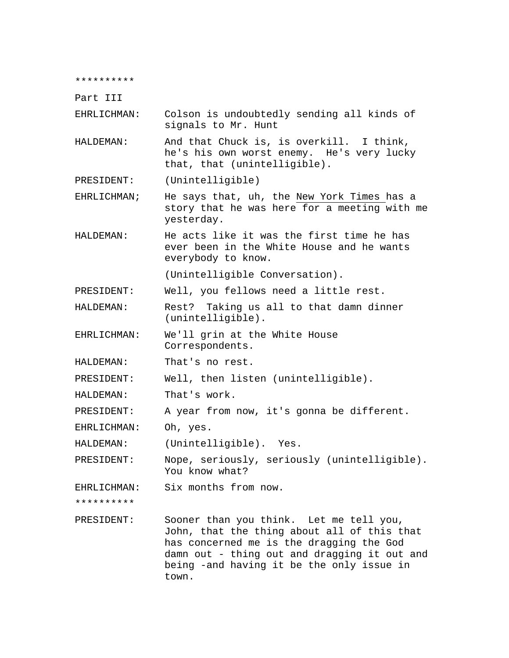\*\*\*\*\*\*\*\*\*\*

Part III

EHRLICHMAN: Colson is undoubtedly sending all kinds of signals to Mr. Hunt

HALDEMAN: And that Chuck is, is overkill. I think, he's his own worst enemy. He's very lucky that, that (unintelligible).

PRESIDENT: (Unintelligible)

- EHRLICHMAN; He says that, uh, the New York Times has a story that he was here for a meeting with me yesterday.
- HALDEMAN: He acts like it was the first time he has ever been in the White House and he wants everybody to know.

(Unintelligible Conversation).

PRESIDENT: Well, you fellows need a little rest.

HALDEMAN: Rest? Taking us all to that damn dinner (unintelligible).

- EHRLICHMAN: We'll grin at the White House Correspondents.
- HALDEMAN: That's no rest.

PRESIDENT: Well, then listen (unintelligible).

HALDEMAN: That's work.

PRESIDENT: A year from now, it's gonna be different.

EHRLICHMAN: Oh, yes.

HALDEMAN: (Unintelligible). Yes.

PRESIDENT: Nope, seriously, seriously (unintelligible). You know what?

EHRLICHMAN: Six months from now.

\*\*\*\*\*\*\*\*\*\*

PRESIDENT: Sooner than you think. Let me tell you, John, that the thing about all of this that has concerned me is the dragging the God damn out - thing out and dragging it out and being -and having it be the only issue in town.